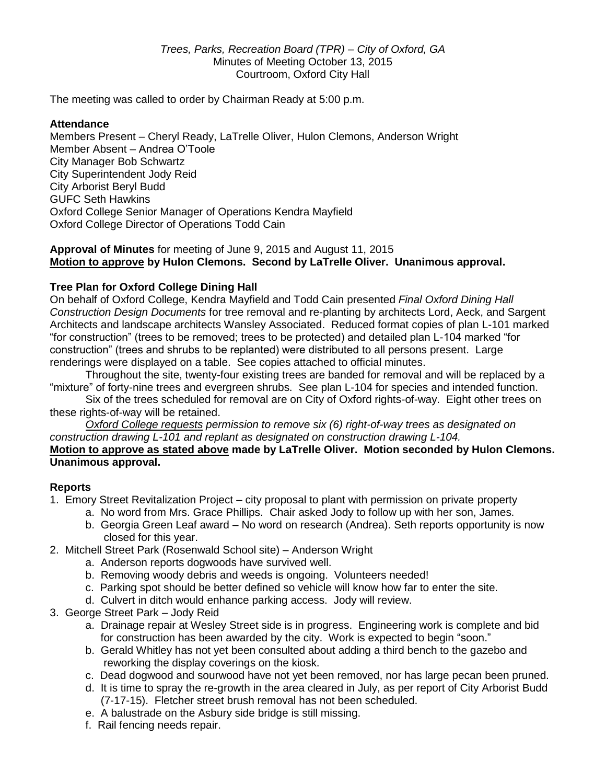The meeting was called to order by Chairman Ready at 5:00 p.m.

### **Attendance**

Members Present – Cheryl Ready, LaTrelle Oliver, Hulon Clemons, Anderson Wright Member Absent – Andrea O'Toole City Manager Bob Schwartz City Superintendent Jody Reid City Arborist Beryl Budd GUFC Seth Hawkins Oxford College Senior Manager of Operations Kendra Mayfield Oxford College Director of Operations Todd Cain

**Approval of Minutes** for meeting of June 9, 2015 and August 11, 2015 **Motion to approve by Hulon Clemons. Second by LaTrelle Oliver. Unanimous approval.**

## **Tree Plan for Oxford College Dining Hall**

On behalf of Oxford College, Kendra Mayfield and Todd Cain presented *Final Oxford Dining Hall Construction Design Documents* for tree removal and re-planting by architects Lord, Aeck, and Sargent Architects and landscape architects Wansley Associated. Reduced format copies of plan L-101 marked "for construction" (trees to be removed; trees to be protected) and detailed plan L-104 marked "for construction" (trees and shrubs to be replanted) were distributed to all persons present. Large renderings were displayed on a table. See copies attached to official minutes.

Throughout the site, twenty-four existing trees are banded for removal and will be replaced by a "mixture" of forty-nine trees and evergreen shrubs. See plan L-104 for species and intended function.

Six of the trees scheduled for removal are on City of Oxford rights-of-way. Eight other trees on these rights-of-way will be retained.

*Oxford College requests permission to remove six (6) right-of-way trees as designated on construction drawing L-101 and replant as designated on construction drawing L-104.* **Motion to approve as stated above made by LaTrelle Oliver. Motion seconded by Hulon Clemons. Unanimous approval.**

#### **Reports**

- 1. Emory Street Revitalization Project city proposal to plant with permission on private property
	- a. No word from Mrs. Grace Phillips. Chair asked Jody to follow up with her son, James.
	- b. Georgia Green Leaf award No word on research (Andrea). Seth reports opportunity is now closed for this year.
- 2. Mitchell Street Park (Rosenwald School site) Anderson Wright
	- a. Anderson reports dogwoods have survived well.
	- b. Removing woody debris and weeds is ongoing. Volunteers needed!
	- c. Parking spot should be better defined so vehicle will know how far to enter the site.
	- d. Culvert in ditch would enhance parking access. Jody will review.
- 3. George Street Park Jody Reid
	- a. Drainage repair at Wesley Street side is in progress. Engineering work is complete and bid for construction has been awarded by the city. Work is expected to begin "soon."
	- b. Gerald Whitley has not yet been consulted about adding a third bench to the gazebo and reworking the display coverings on the kiosk.
	- c. Dead dogwood and sourwood have not yet been removed, nor has large pecan been pruned.
	- d. It is time to spray the re-growth in the area cleared in July, as per report of City Arborist Budd (7-17-15). Fletcher street brush removal has not been scheduled.
	- e. A balustrade on the Asbury side bridge is still missing.
	- f. Rail fencing needs repair.